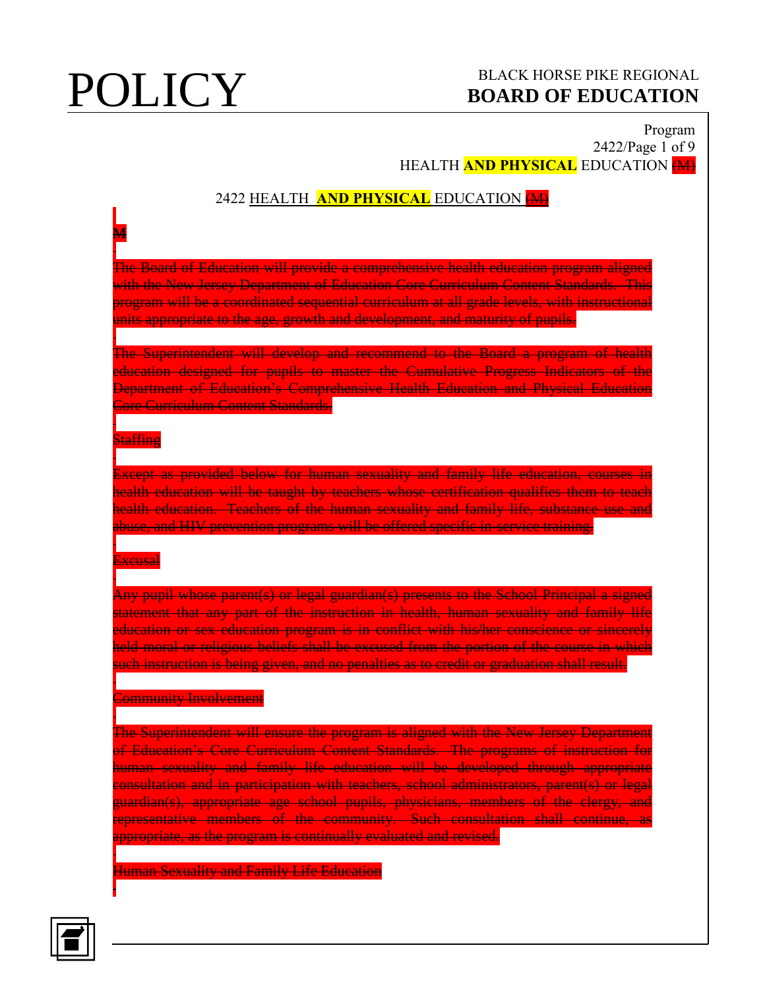## **POLICY** BLACK HORSE PIKE REGIONAL **BOARD OF EDUCATION BOARD OF EDUCATION**

## Program 2422/Page 1 of 9 HEALTH **AND PHYSICAL** EDUCATION (M)

## 2422 HEALTH **AND PHYSICAL** EDUCATION (M)

The Board of Education will provide a comprehensive health education program aligned with the New Jersey Department of Education Core Curriculum Content Standards. This program will be a coordinated sequential curriculum at all grade levels, with instructional units appropriate to the age, growth and development, and maturity of pupils.

The Superintendent will develop and recommend to the Board a program of health education designed for pupils to master the Cumulative Progress Indicators of the Department of Education's Comprehensive Health Education and Physical Education Core Curriculum Content Standards.

### **Staffing**

**M**

Except as provided below for human sexuality and family life education, courses in health education will be taught by teachers whose certification qualifies them to teach health education. Teachers of the human sexuality and family life, substance use and abuse, and HIV prevention programs will be offered specific in-service training.

### Excusal

Any pupil whose parent(s) or legal guardian(s) presents to the School Principal a signed statement that any part of the instruction in health, human sexuality and family life education or sex education program is in conflict with his/her conscience or sincerely held moral or religious beliefs shall be excused from the portion of the course in which such instruction is being given, and no penalties as to credit or graduation shall result.

### **Community Involvement**

The Superintendent will ensure the program is aligned with the New Jersey Department of Education's Core Curriculum Content Standards. The programs of instruction for human sexuality and family life education will be developed through appropriate consultation and in participation with teachers, school administrators, parent(s) or legal guardian(s), appropriate age school pupils, physicians, members of the clergy, and representative members of the community. Such consultation shall continue, as appropriate, as the program is continually evaluated and revised.

Human Sexuality and Family Life Education

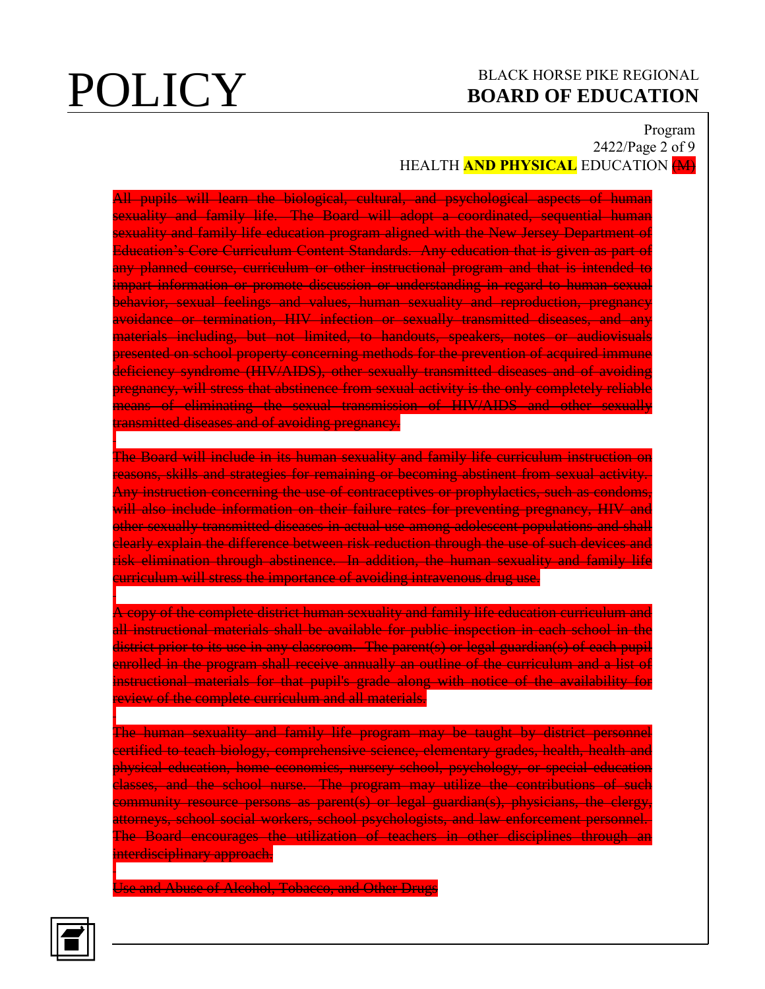## Program 2422/Page 2 of 9 **HEALTH AND PHYSICAL EDUCATION (M)**

All pupils will learn the biological, cultural, and psychological aspects of human sexuality and family life. The Board will adopt a coordinated, sequential human sexuality and family life education program aligned with the New Jersey Department of Education's Core Curriculum Content Standards. Any education that is given as part of any planned course, curriculum or other instructional program and that is intended to impart information or promote discussion or understanding in regard to human sexual behavior, sexual feelings and values, human sexuality and reproduction, pregnancy avoidance or termination, HIV infection or sexually transmitted diseases, and any materials including, but not limited, to handouts, speakers, notes or audiovisuals presented on school property concerning methods for the prevention of acquired immune deficiency syndrome (HIV/AIDS), other sexually transmitted diseases and of avoiding pregnancy, will stress that abstinence from sexual activity is the only completely reliable means of eliminating the sexual transmission of HIV/AIDS and other sexually transmitted diseases and of avoiding pregnancy.

The Board will include in its human sexuality and family life curriculum instruction on reasons, skills and strategies for remaining or becoming abstinent from sexual activity. Any instruction concerning the use of contraceptives or prophylactics, such as condoms, will also include information on their failure rates for preventing pregnancy, HIV and other sexually transmitted diseases in actual use among adolescent populations and shall clearly explain the difference between risk reduction through the use of such devices and risk elimination through abstinence. In addition, the human sexuality and family life curriculum will stress the importance of avoiding intravenous drug use.

A copy of the complete district human sexuality and family life education curriculum and all instructional materials shall be available for public inspection in each school in the district prior to its use in any classroom. The parent(s) or legal guardian(s) of each pupil enrolled in the program shall receive annually an outline of the curriculum and a list of instructional materials for that pupil's grade along with notice of the availability for review of the complete curriculum and all materials.

The human sexuality and family life program may be taught by district personnel certified to teach biology, comprehensive science, elementary grades, health, health and physical education, home economics, nursery school, psychology, or special education classes, and the school nurse. The program may utilize the contributions of such community resource persons as parent(s) or legal guardian(s), physicians, the clergy, attorneys, school social workers, school psychologists, and law enforcement personnel. The Board encourages the utilization of teachers in other disciplines through an interdisciplinary approach.

Use and Abuse of Alcohol, Tobacco, and Other Drugs

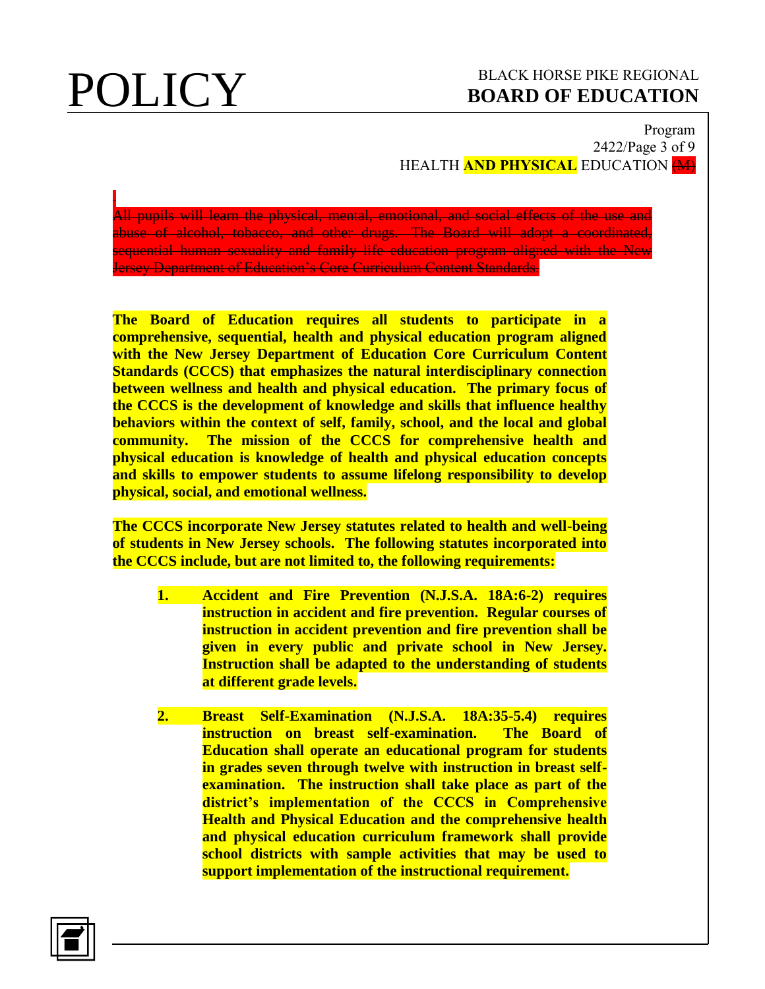### Program 2422/Page 3 of 9 HEALTH **AND PHYSICAL** EDUCATION (M)

All pupils will learn the physical, mental, emotional, and social effects of the use and abuse of alcohol, tobacco, and other drugs. The Board will adopt a coordinated, sequential human sexuality and family life education program aligned with the New Jersey Department of Education's Core Curriculum Content Standards.

**The Board of Education requires all students to participate in a comprehensive, sequential, health and physical education program aligned with the New Jersey Department of Education Core Curriculum Content Standards (CCCS) that emphasizes the natural interdisciplinary connection between wellness and health and physical education. The primary focus of the CCCS is the development of knowledge and skills that influence healthy behaviors within the context of self, family, school, and the local and global community. The mission of the CCCS for comprehensive health and physical education is knowledge of health and physical education concepts and skills to empower students to assume lifelong responsibility to develop physical, social, and emotional wellness.**

**The CCCS incorporate New Jersey statutes related to health and well-being of students in New Jersey schools. The following statutes incorporated into the CCCS include, but are not limited to, the following requirements:**

- **1. Accident and Fire Prevention (N.J.S.A. 18A:6-2) requires instruction in accident and fire prevention. Regular courses of instruction in accident prevention and fire prevention shall be given in every public and private school in New Jersey. Instruction shall be adapted to the understanding of students at different grade levels.**
- **2. Breast Self-Examination (N.J.S.A. 18A:35-5.4) requires instruction on breast self-examination. The Board of Education shall operate an educational program for students in grades seven through twelve with instruction in breast selfexamination. The instruction shall take place as part of the district's implementation of the CCCS in Comprehensive Health and Physical Education and the comprehensive health and physical education curriculum framework shall provide school districts with sample activities that may be used to support implementation of the instructional requirement.**

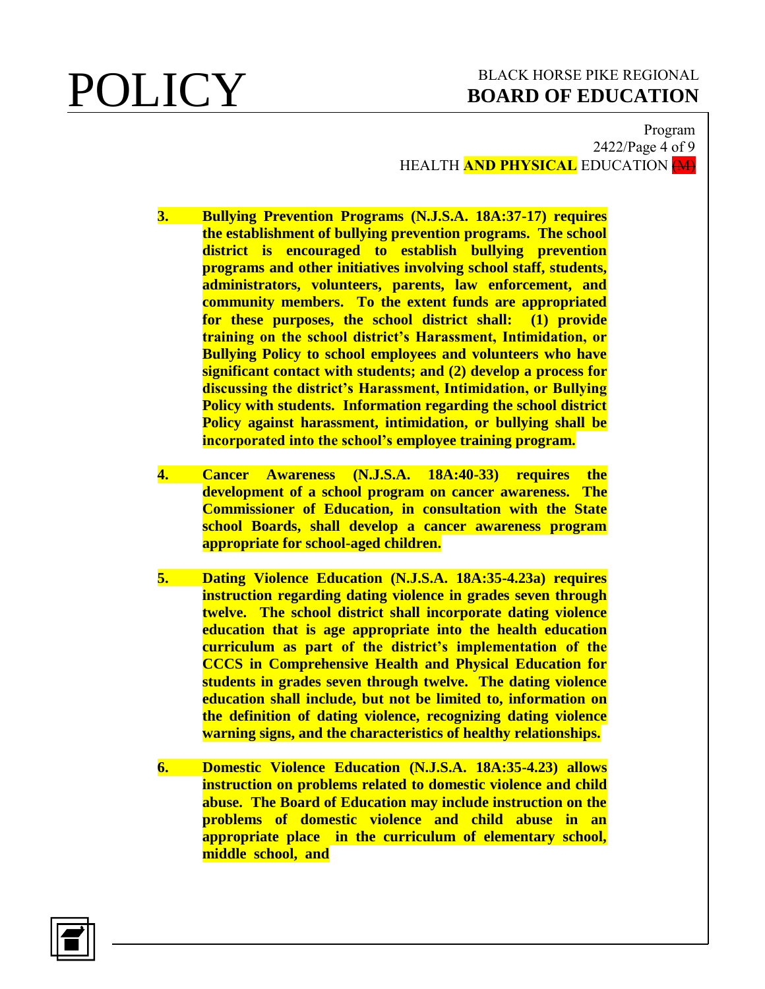### Program 2422/Page 4 of 9 HEALTH **AND PHYSICAL** EDUCATION (M)

- **3. Bullying Prevention Programs (N.J.S.A. 18A:37-17) requires the establishment of bullying prevention programs. The school district is encouraged to establish bullying prevention programs and other initiatives involving school staff, students, administrators, volunteers, parents, law enforcement, and community members. To the extent funds are appropriated for these purposes, the school district shall: (1) provide training on the school district's Harassment, Intimidation, or Bullying Policy to school employees and volunteers who have significant contact with students; and (2) develop a process for discussing the district's Harassment, Intimidation, or Bullying Policy with students. Information regarding the school district Policy against harassment, intimidation, or bullying shall be incorporated into the school's employee training program.**
- **4. Cancer Awareness (N.J.S.A. 18A:40-33) requires the development of a school program on cancer awareness. The Commissioner of Education, in consultation with the State school Boards, shall develop a cancer awareness program appropriate for school-aged children.**
- **5. Dating Violence Education (N.J.S.A. 18A:35-4.23a) requires instruction regarding dating violence in grades seven through twelve. The school district shall incorporate dating violence education that is age appropriate into the health education curriculum as part of the district's implementation of the CCCS in Comprehensive Health and Physical Education for students in grades seven through twelve. The dating violence education shall include, but not be limited to, information on the definition of dating violence, recognizing dating violence warning signs, and the characteristics of healthy relationships.**
- **6. Domestic Violence Education (N.J.S.A. 18A:35-4.23) allows instruction on problems related to domestic violence and child abuse. The Board of Education may include instruction on the problems of domestic violence and child abuse in an appropriate place in the curriculum of elementary school, middle school, and**

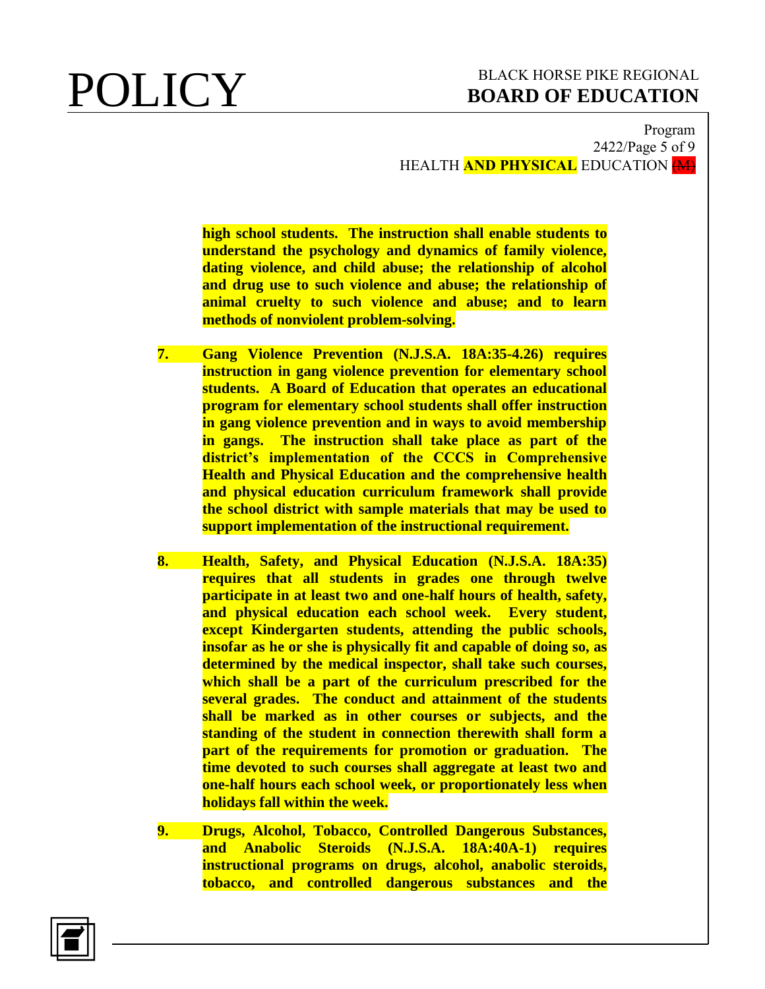Program 2422/Page 5 of 9 HEALTH **AND PHYSICAL** EDUCATION (M)

**high school students. The instruction shall enable students to understand the psychology and dynamics of family violence, dating violence, and child abuse; the relationship of alcohol and drug use to such violence and abuse; the relationship of animal cruelty to such violence and abuse; and to learn methods of nonviolent problem-solving.**

- **7. Gang Violence Prevention (N.J.S.A. 18A:35-4.26) requires instruction in gang violence prevention for elementary school students. A Board of Education that operates an educational program for elementary school students shall offer instruction in gang violence prevention and in ways to avoid membership in gangs. The instruction shall take place as part of the district's implementation of the CCCS in Comprehensive Health and Physical Education and the comprehensive health and physical education curriculum framework shall provide the school district with sample materials that may be used to support implementation of the instructional requirement.**
- **8. Health, Safety, and Physical Education (N.J.S.A. 18A:35) requires that all students in grades one through twelve participate in at least two and one-half hours of health, safety, and physical education each school week. Every student, except Kindergarten students, attending the public schools, insofar as he or she is physically fit and capable of doing so, as determined by the medical inspector, shall take such courses, which shall be a part of the curriculum prescribed for the several grades. The conduct and attainment of the students shall be marked as in other courses or subjects, and the standing of the student in connection therewith shall form a part of the requirements for promotion or graduation. The time devoted to such courses shall aggregate at least two and one-half hours each school week, or proportionately less when holidays fall within the week.**
- **9. Drugs, Alcohol, Tobacco, Controlled Dangerous Substances, and Anabolic Steroids (N.J.S.A. 18A:40A-1) requires instructional programs on drugs, alcohol, anabolic steroids, tobacco, and controlled dangerous substances and the**

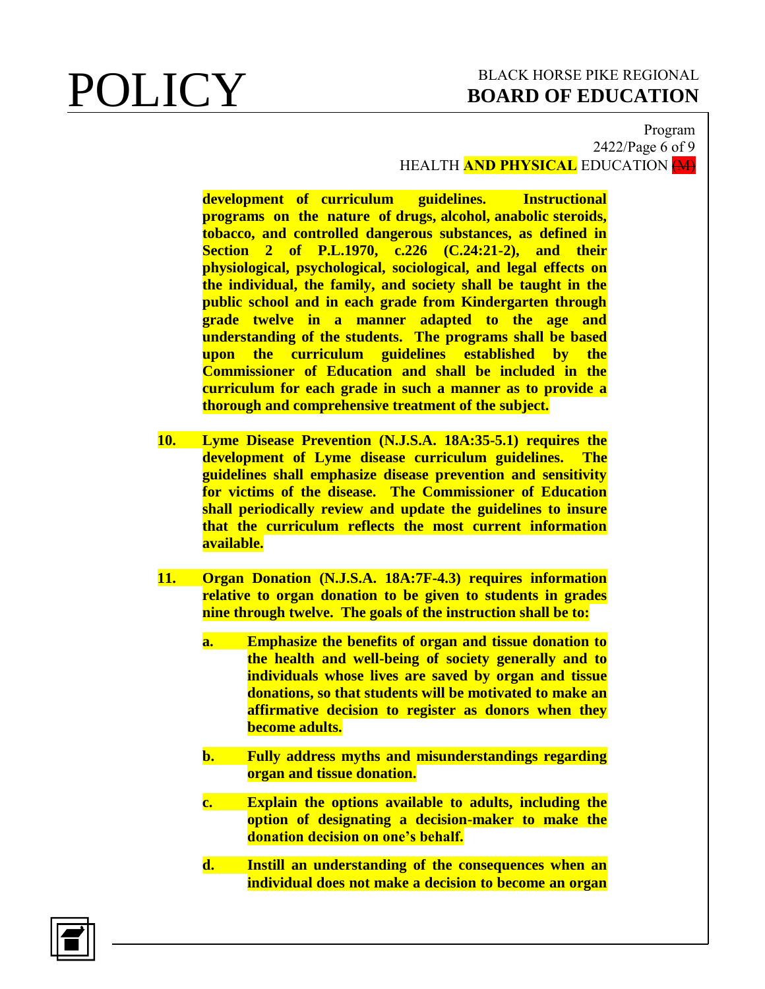### Program 2422/Page 6 of 9 HEALTH **AND PHYSICAL** EDUCATION (M)

**development of curriculum guidelines. Instructional programs on the nature of drugs, alcohol, anabolic steroids, tobacco, and controlled dangerous substances, as defined in Section 2 of P.L.1970, c.226 (C.24:21-2), and their physiological, psychological, sociological, and legal effects on the individual, the family, and society shall be taught in the public school and in each grade from Kindergarten through grade twelve in a manner adapted to the age and understanding of the students. The programs shall be based upon the curriculum guidelines established by the Commissioner of Education and shall be included in the curriculum for each grade in such a manner as to provide a thorough and comprehensive treatment of the subject.**

- **10. Lyme Disease Prevention (N.J.S.A. 18A:35-5.1) requires the development of Lyme disease curriculum guidelines. The guidelines shall emphasize disease prevention and sensitivity for victims of the disease. The Commissioner of Education shall periodically review and update the guidelines to insure that the curriculum reflects the most current information available.**
- **11. Organ Donation (N.J.S.A. 18A:7F-4.3) requires information relative to organ donation to be given to students in grades nine through twelve. The goals of the instruction shall be to:**
	- **a. Emphasize the benefits of organ and tissue donation to the health and well-being of society generally and to individuals whose lives are saved by organ and tissue donations, so that students will be motivated to make an affirmative decision to register as donors when they become adults.**
	- **b. Fully address myths and misunderstandings regarding organ and tissue donation.**
	- **c. Explain the options available to adults, including the option of designating a decision-maker to make the donation decision on one's behalf.**
	- **d. Instill an understanding of the consequences when an individual does not make a decision to become an organ**

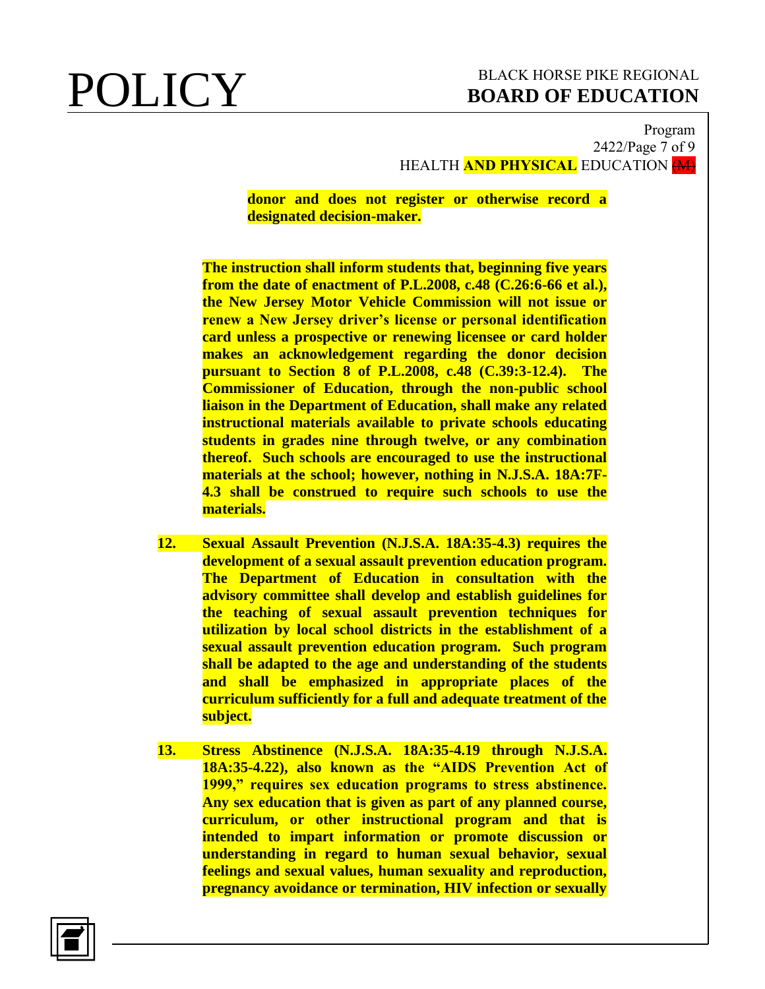## Program 2422/Page 7 of 9 HEALTH **AND PHYSICAL** EDUCATION (M)

**donor and does not register or otherwise record a designated decision-maker.**

**The instruction shall inform students that, beginning five years from the date of enactment of P.L.2008, c.48 (C.26:6-66 et al.), the New Jersey Motor Vehicle Commission will not issue or renew a New Jersey driver's license or personal identification card unless a prospective or renewing licensee or card holder makes an acknowledgement regarding the donor decision pursuant to Section 8 of P.L.2008, c.48 (C.39:3-12.4). The Commissioner of Education, through the non-public school liaison in the Department of Education, shall make any related instructional materials available to private schools educating students in grades nine through twelve, or any combination thereof. Such schools are encouraged to use the instructional materials at the school; however, nothing in N.J.S.A. 18A:7F-4.3 shall be construed to require such schools to use the materials.**

- **12. Sexual Assault Prevention (N.J.S.A. 18A:35-4.3) requires the development of a sexual assault prevention education program. The Department of Education in consultation with the advisory committee shall develop and establish guidelines for the teaching of sexual assault prevention techniques for utilization by local school districts in the establishment of a sexual assault prevention education program. Such program shall be adapted to the age and understanding of the students and shall be emphasized in appropriate places of the curriculum sufficiently for a full and adequate treatment of the subject.**
- **13. Stress Abstinence (N.J.S.A. 18A:35-4.19 through N.J.S.A. 18A:35-4.22), also known as the "AIDS Prevention Act of 1999," requires sex education programs to stress abstinence. Any sex education that is given as part of any planned course, curriculum, or other instructional program and that is intended to impart information or promote discussion or understanding in regard to human sexual behavior, sexual feelings and sexual values, human sexuality and reproduction, pregnancy avoidance or termination, HIV infection or sexually**

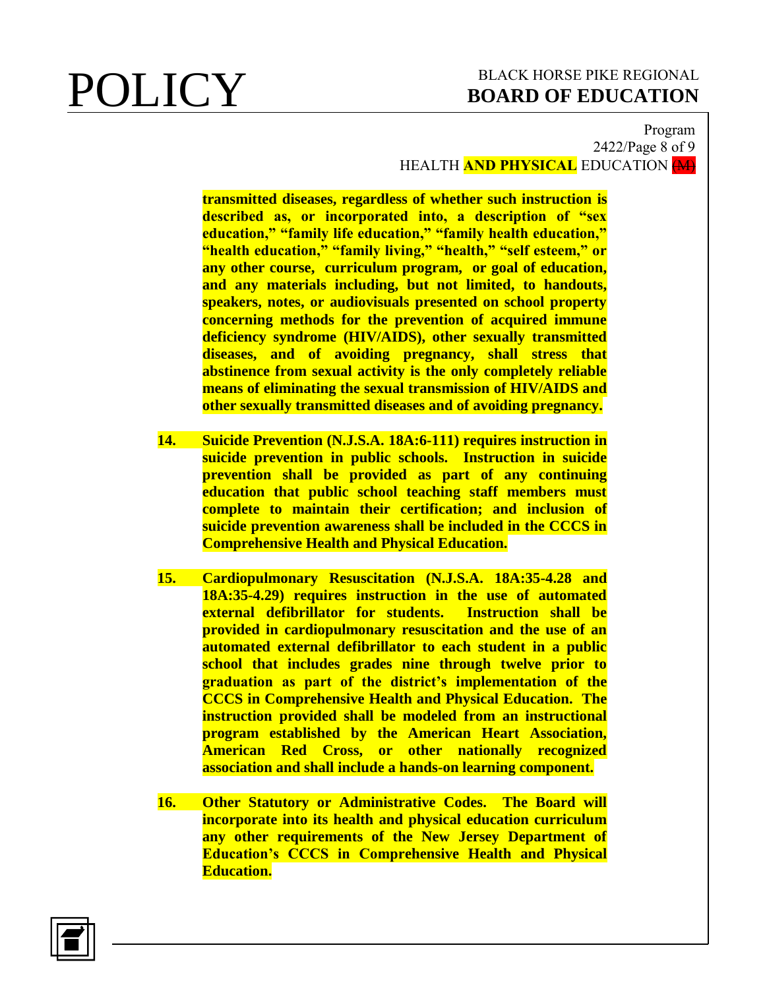### Program 2422/Page 8 of 9 HEALTH **AND PHYSICAL** EDUCATION (M)

**transmitted diseases, regardless of whether such instruction is described as, or incorporated into, a description of "sex education," "family life education," "family health education," "health education," "family living," "health," "self esteem," or any other course, curriculum program, or goal of education, and any materials including, but not limited, to handouts, speakers, notes, or audiovisuals presented on school property concerning methods for the prevention of acquired immune deficiency syndrome (HIV/AIDS), other sexually transmitted diseases, and of avoiding pregnancy, shall stress that abstinence from sexual activity is the only completely reliable means of eliminating the sexual transmission of HIV/AIDS and other sexually transmitted diseases and of avoiding pregnancy.** 

- **14. Suicide Prevention (N.J.S.A. 18A:6-111) requires instruction in suicide prevention in public schools. Instruction in suicide prevention shall be provided as part of any continuing education that public school teaching staff members must complete to maintain their certification; and inclusion of suicide prevention awareness shall be included in the CCCS in Comprehensive Health and Physical Education.**
- **15. Cardiopulmonary Resuscitation (N.J.S.A. 18A:35-4.28 and 18A:35-4.29) requires instruction in the use of automated external defibrillator for students. Instruction shall be provided in cardiopulmonary resuscitation and the use of an automated external defibrillator to each student in a public school that includes grades nine through twelve prior to graduation as part of the district's implementation of the CCCS in Comprehensive Health and Physical Education. The instruction provided shall be modeled from an instructional program established by the American Heart Association, American Red Cross, or other nationally recognized association and shall include a hands-on learning component.**
- **16. Other Statutory or Administrative Codes. The Board will incorporate into its health and physical education curriculum any other requirements of the New Jersey Department of Education's CCCS in Comprehensive Health and Physical Education.**